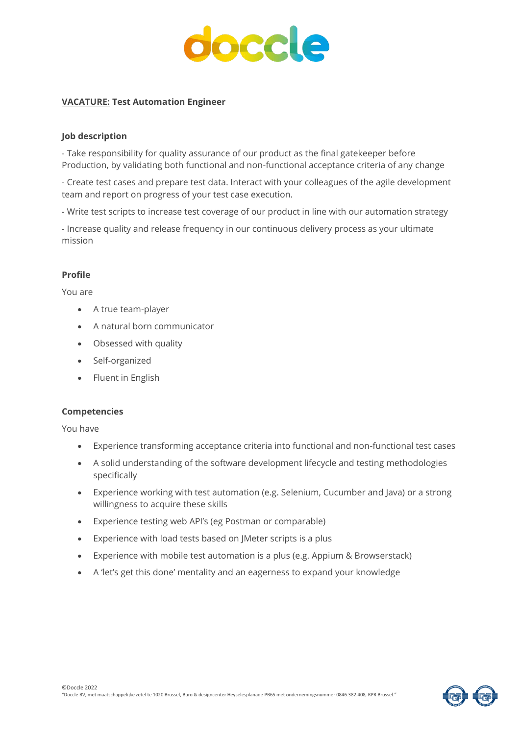

# **VACATURE: Test Automation Engineer**

## **Job description**

- Take responsibility for quality assurance of our product as the final gatekeeper before Production, by validating both functional and non-functional acceptance criteria of any change

- Create test cases and prepare test data. Interact with your colleagues of the agile development team and report on progress of your test case execution.

- Write test scripts to increase test coverage of our product in line with our automation strategy

- Increase quality and release frequency in our continuous delivery process as your ultimate mission

# **Profile**

You are

- A true team-player
- A natural born communicator
- Obsessed with quality
- Self-organized
- Fluent in English

### **Competencies**

You have

- Experience transforming acceptance criteria into functional and non-functional test cases
- A solid understanding of the software development lifecycle and testing methodologies specifically
- Experience working with test automation (e.g. Selenium, Cucumber and Java) or a strong willingness to acquire these skills
- Experience testing web API's (eg Postman or comparable)
- Experience with load tests based on JMeter scripts is a plus
- Experience with mobile test automation is a plus (e.g. Appium & Browserstack)
- A 'let's get this done' mentality and an eagerness to expand your knowledge